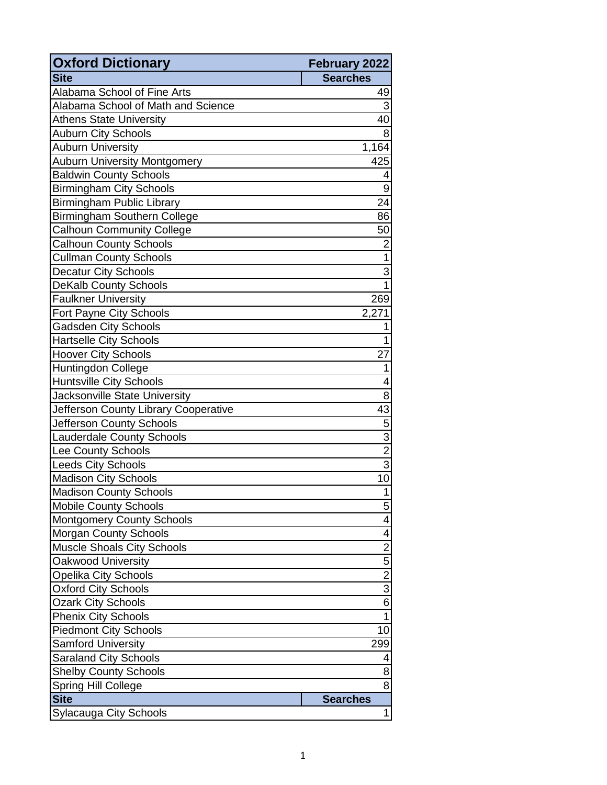| <b>Oxford Dictionary</b>             | February 2022           |
|--------------------------------------|-------------------------|
| <b>Site</b>                          | <b>Searches</b>         |
| Alabama School of Fine Arts          | 49                      |
| Alabama School of Math and Science   | 3                       |
| <b>Athens State University</b>       | 40                      |
| <b>Auburn City Schools</b>           | 8                       |
| <b>Auburn University</b>             | 1,164                   |
| <b>Auburn University Montgomery</b>  | 425                     |
| <b>Baldwin County Schools</b>        | 4                       |
| <b>Birmingham City Schools</b>       | 9                       |
| <b>Birmingham Public Library</b>     | 24                      |
| <b>Birmingham Southern College</b>   | 86                      |
| <b>Calhoun Community College</b>     | 50                      |
| <b>Calhoun County Schools</b>        | $\overline{2}$          |
| <b>Cullman County Schools</b>        | 1                       |
| Decatur City Schools                 | 3                       |
| <b>DeKalb County Schools</b>         | 1                       |
| <b>Faulkner University</b>           | 269                     |
| Fort Payne City Schools              | 2,271                   |
| <b>Gadsden City Schools</b>          | 1                       |
| <b>Hartselle City Schools</b>        | 1                       |
| <b>Hoover City Schools</b>           | 27                      |
| <b>Huntingdon College</b>            | 1                       |
| <b>Huntsville City Schools</b>       | 4                       |
| Jacksonville State University        | 8                       |
| Jefferson County Library Cooperative | 43                      |
| Jefferson County Schools             | 5                       |
| <b>Lauderdale County Schools</b>     | $\overline{3}$          |
| <b>Lee County Schools</b>            | $\overline{2}$          |
| <b>Leeds City Schools</b>            | $\overline{3}$          |
| <b>Madison City Schools</b>          | 10                      |
| <b>Madison County Schools</b>        | 1                       |
| <b>Mobile County Schools</b>         | 5                       |
| <b>Montgomery County Schools</b>     | 4                       |
| <b>Morgan County Schools</b>         | 4                       |
| <b>Muscle Shoals City Schools</b>    | $\overline{\mathbf{c}}$ |
| Oakwood University                   | $\frac{5}{2}$           |
| <b>Opelika City Schools</b>          |                         |
| <b>Oxford City Schools</b>           | $\overline{3}$          |
| <b>Ozark City Schools</b>            | 6                       |
| <b>Phenix City Schools</b>           | 1                       |
| <b>Piedmont City Schools</b>         | 10                      |
| Samford University                   | 299                     |
| <b>Saraland City Schools</b>         | 4                       |
| <b>Shelby County Schools</b>         | 8                       |
| Spring Hill College                  | 8                       |
| <b>Site</b>                          | <b>Searches</b>         |
| <b>Sylacauga City Schools</b>        | 1                       |